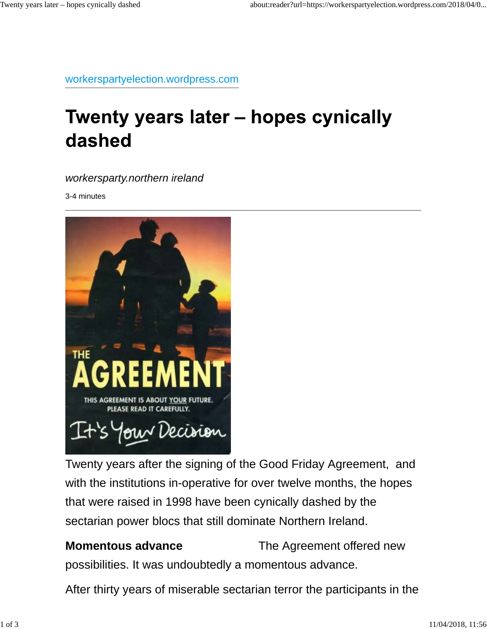workerspartyelection.wordpress.com

# Twenty years later - hopes cynically dashed

*workersparty.northern ireland*

3-4 minutes



Twenty years after the signing of the Good Friday Agreement, and with the institutions in-operative for over twelve months, the hopes that were raised in 1998 have been cynically dashed by the sectarian power blocs that still dominate Northern Ireland.

**Momentous advance** The Agreement offered new

possibilities. It was undoubtedly a momentous advance.

After thirty years of miserable sectarian terror the participants in the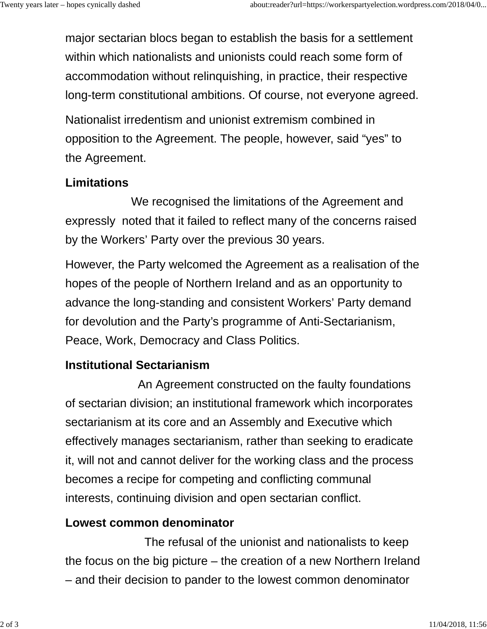major sectarian blocs began to establish the basis for a settlement within which nationalists and unionists could reach some form of accommodation without relinquishing, in practice, their respective long-term constitutional ambitions. Of course, not everyone agreed.

Nationalist irredentism and unionist extremism combined in opposition to the Agreement. The people, however, said "yes" to the Agreement.

## **Limitations**

 We recognised the limitations of the Agreement and expressly noted that it failed to reflect many of the concerns raised by the Workers' Party over the previous 30 years.

However, the Party welcomed the Agreement as a realisation of the hopes of the people of Northern Ireland and as an opportunity to advance the long-standing and consistent Workers' Party demand for devolution and the Party's programme of Anti-Sectarianism, Peace, Work, Democracy and Class Politics.

### **Institutional Sectarianism**

 An Agreement constructed on the faulty foundations of sectarian division; an institutional framework which incorporates sectarianism at its core and an Assembly and Executive which effectively manages sectarianism, rather than seeking to eradicate it, will not and cannot deliver for the working class and the process becomes a recipe for competing and conflicting communal interests, continuing division and open sectarian conflict.

### **Lowest common denominator**

 The refusal of the unionist and nationalists to keep the focus on the big picture – the creation of a new Northern Ireland – and their decision to pander to the lowest common denominator